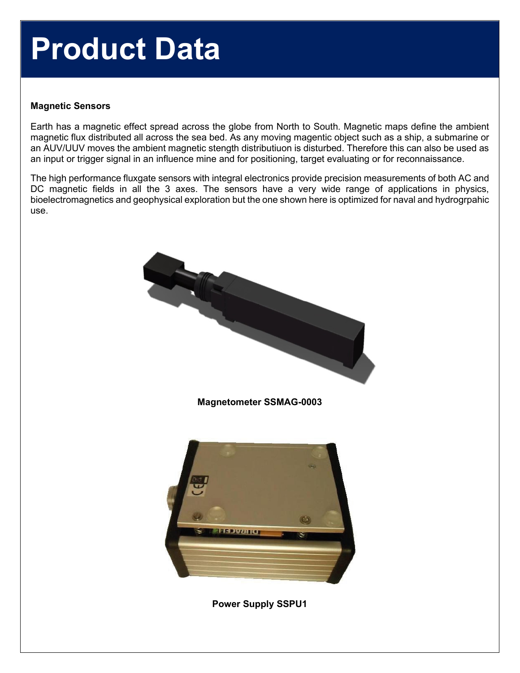## **Product Data**

## **Magnetic Sensors**

Earth has a magnetic effect spread across the globe from North to South. Magnetic maps define the ambient magnetic flux distributed all across the sea bed. As any moving magentic object such as a ship, a submarine or an AUV/UUV moves the ambient magnetic stength distributiuon is disturbed. Therefore this can also be used as an input or trigger signal in an influence mine and for positioning, target evaluating or for reconnaissance.

The high performance fluxgate sensors with integral electronics provide precision measurements of both AC and DC magnetic fields in all the 3 axes. The sensors have a very wide range of applications in physics, bioelectromagnetics and geophysical exploration but the one shown here is optimized for naval and hydrogrpahic use.



**Power Supply SSPU1**